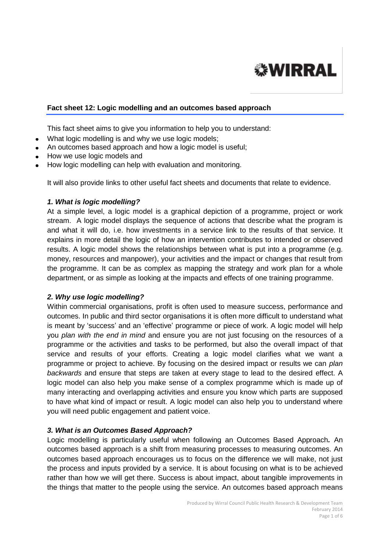

#### **Fact sheet 12: Logic modelling and an outcomes based approach**

This fact sheet aims to give you information to help you to understand:

- What logic modelling is and why we use logic models;
- An outcomes based approach and how a logic model is useful:
- How we use logic models and
- How logic modelling can help with evaluation and monitoring.

It will also provide links to other useful fact sheets and documents that relate to evidence.

#### *1. What is logic modelling?*

At a simple level, a logic model is a graphical depiction of a programme, project or work stream. A logic model displays the sequence of actions that describe what the program is and what it will do, i.e. how investments in a service link to the results of that service. It explains in more detail the logic of how an intervention contributes to intended or observed results. A logic model shows the relationships between what is put into a programme (e.g. money, resources and manpower), your activities and the impact or changes that result from the programme. It can be as complex as mapping the strategy and work plan for a whole department, or as simple as looking at the impacts and effects of one training programme.

### *2. Why use logic modelling?*

Within commercial organisations, profit is often used to measure success, performance and outcomes. In public and third sector organisations it is often more difficult to understand what is meant by 'success' and an 'effective' programme or piece of work. A logic model will help you *plan with the end in mind* and ensure you are not just focusing on the resources of a programme or the activities and tasks to be performed, but also the overall impact of that service and results of your efforts. Creating a logic model clarifies what we want a programme or project to achieve. By focusing on the desired impact or results we can *plan backwards* and ensure that steps are taken at every stage to lead to the desired effect. A logic model can also help you make sense of a complex programme which is made up of many interacting and overlapping activities and ensure you know which parts are supposed to have what kind of impact or result. A logic model can also help you to understand where you will need public engagement and patient voice.

#### *3. What is an Outcomes Based Approach?*

Logic modelling is particularly useful when following an Outcomes Based Approach*.* An outcomes based approach is a shift from measuring processes to measuring outcomes. An outcomes based approach encourages us to focus on the difference we will make, not just the process and inputs provided by a service. It is about focusing on what is to be achieved rather than how we will get there. Success is about impact, about tangible improvements in the things that matter to the people using the service. An outcomes based approach means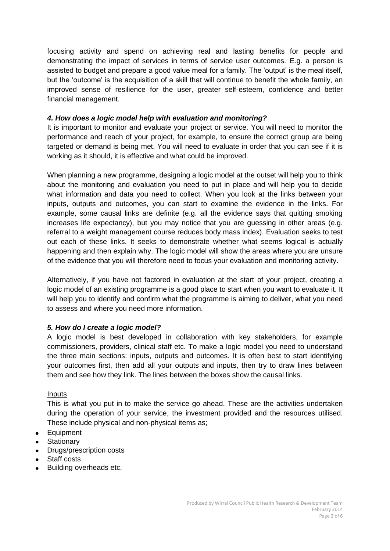focusing activity and spend on achieving real and lasting benefits for people and demonstrating the impact of services in terms of service user outcomes. E.g. a person is assisted to budget and prepare a good value meal for a family. The 'output' is the meal itself, but the 'outcome' is the acquisition of a skill that will continue to benefit the whole family, an improved sense of resilience for the user, greater self-esteem, confidence and better financial management.

# *4. How does a logic model help with evaluation and monitoring?*

It is important to monitor and evaluate your project or service. You will need to monitor the performance and reach of your project, for example, to ensure the correct group are being targeted or demand is being met. You will need to evaluate in order that you can see if it is working as it should, it is effective and what could be improved.

When planning a new programme, designing a logic model at the outset will help you to think about the monitoring and evaluation you need to put in place and will help you to decide what information and data you need to collect. When you look at the links between your inputs, outputs and outcomes, you can start to examine the evidence in the links. For example, some causal links are definite (e.g. all the evidence says that quitting smoking increases life expectancy), but you may notice that you are guessing in other areas (e.g. referral to a weight management course reduces body mass index). Evaluation seeks to test out each of these links. It seeks to demonstrate whether what seems logical is actually happening and then explain why. The logic model will show the areas where you are unsure of the evidence that you will therefore need to focus your evaluation and monitoring activity.

Alternatively, if you have not factored in evaluation at the start of your project, creating a logic model of an existing programme is a good place to start when you want to evaluate it. It will help you to identify and confirm what the programme is aiming to deliver, what you need to assess and where you need more information.

# *5. How do I create a logic model?*

A logic model is best developed in collaboration with key stakeholders, for example commissioners, providers, clinical staff etc. To make a logic model you need to understand the three main sections: inputs, outputs and outcomes. It is often best to start identifying your outcomes first, then add all your outputs and inputs, then try to draw lines between them and see how they link. The lines between the boxes show the causal links.

### Inputs

This is what you put in to make the service go ahead. These are the activities undertaken during the operation of your service, the investment provided and the resources utilised. These include physical and non-physical items as;

- Equipment
- **Stationary**
- Drugs/prescription costs
- Staff costs
- Building overheads etc.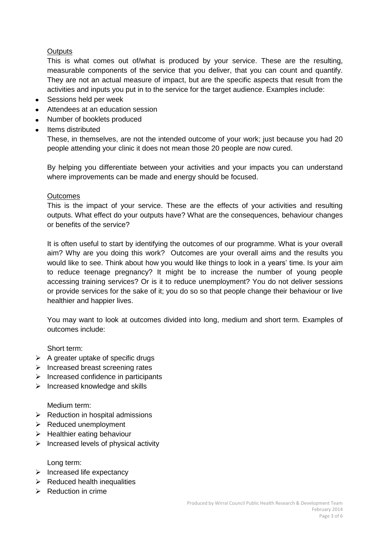# **Outputs**

This is what comes out of/what is produced by your service. These are the resulting, measurable components of the service that you deliver, that you can count and quantify. They are not an actual measure of impact, but are the specific aspects that result from the activities and inputs you put in to the service for the target audience. Examples include:

- Sessions held per week
- Attendees at an education session
- Number of booklets produced
- Items distributed

These, in themselves, are not the intended outcome of your work; just because you had 20 people attending your clinic it does not mean those 20 people are now cured.

By helping you differentiate between your activities and your impacts you can understand where improvements can be made and energy should be focused.

### **Outcomes**

This is the impact of your service. These are the effects of your activities and resulting outputs. What effect do your outputs have? What are the consequences, behaviour changes or benefits of the service?

It is often useful to start by identifying the outcomes of our programme. What is your overall aim? Why are you doing this work? Outcomes are your overall aims and the results you would like to see. Think about how you would like things to look in a years' time. Is your aim to reduce teenage pregnancy? It might be to increase the number of young people accessing training services? Or is it to reduce unemployment? You do not deliver sessions or provide services for the sake of it; you do so so that people change their behaviour or live healthier and happier lives.

You may want to look at outcomes divided into long, medium and short term. Examples of outcomes include:

Short term:

- $\triangleright$  A greater uptake of specific drugs
- $\triangleright$  Increased breast screening rates
- $\triangleright$  Increased confidence in participants
- $\triangleright$  Increased knowledge and skills

Medium term:

- $\triangleright$  Reduction in hospital admissions
- $\triangleright$  Reduced unemployment
- $\triangleright$  Healthier eating behaviour
- $\triangleright$  Increased levels of physical activity

Long term:

- $\triangleright$  Increased life expectancy
- $\triangleright$  Reduced health inequalities
- $\triangleright$  Reduction in crime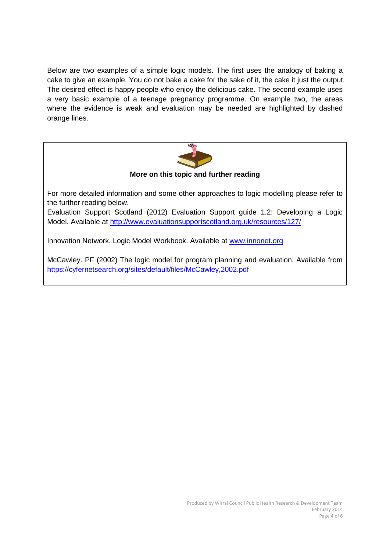Below are two examples of a simple logic models. The first uses the analogy of baking a cake to give an example. You do not bake a cake for the sake of it, the cake it just the output. The desired effect is happy people who enjoy the delicious cake. The second example uses a very basic example of a teenage pregnancy programme. On example two, the areas where the evidence is weak and evaluation may be needed are highlighted by dashed orange lines.



**More on this topic and further reading**

For more detailed information and some other approaches to logic modelling please refer to the further reading below.

Evaluation Support Scotland (2012) Evaluation Support guide 1.2: Developing a Logic Model. Available at<http://www.evaluationsupportscotland.org.uk/resources/127/>

Innovation Network. Logic Model Workbook. Available at [www.innonet.org](http://www.innonet.org/)

McCawley. PF (2002) The logic model for program planning and evaluation. Available from <https://cyfernetsearch.org/sites/default/files/McCawley,2002.pdf>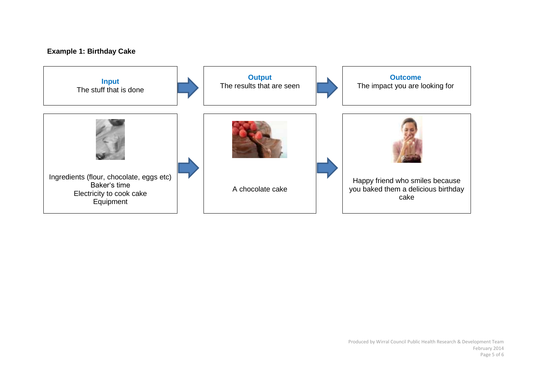# **Example 1: Birthday Cake**